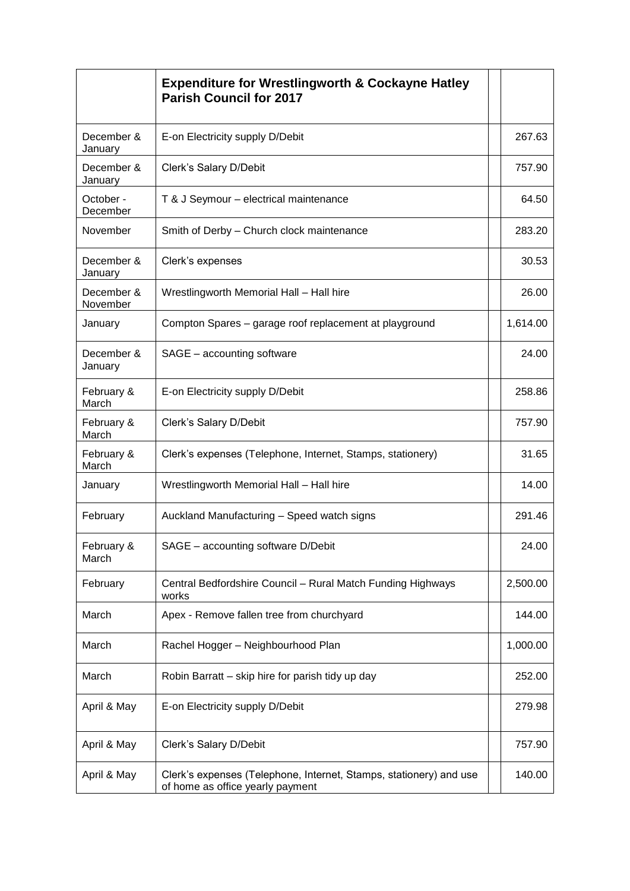|                        | <b>Expenditure for Wrestlingworth &amp; Cockayne Hatley</b><br><b>Parish Council for 2017</b>          |          |
|------------------------|--------------------------------------------------------------------------------------------------------|----------|
| December &<br>January  | E-on Electricity supply D/Debit                                                                        | 267.63   |
| December &<br>January  | Clerk's Salary D/Debit                                                                                 | 757.90   |
| October -<br>December  | T & J Seymour - electrical maintenance                                                                 | 64.50    |
| November               | Smith of Derby - Church clock maintenance                                                              | 283.20   |
| December &<br>January  | Clerk's expenses                                                                                       | 30.53    |
| December &<br>November | Wrestlingworth Memorial Hall - Hall hire                                                               | 26.00    |
| January                | Compton Spares - garage roof replacement at playground                                                 | 1,614.00 |
| December &<br>January  | SAGE - accounting software                                                                             | 24.00    |
| February &<br>March    | E-on Electricity supply D/Debit                                                                        | 258.86   |
| February &<br>March    | Clerk's Salary D/Debit                                                                                 | 757.90   |
| February &<br>March    | Clerk's expenses (Telephone, Internet, Stamps, stationery)                                             | 31.65    |
| January                | Wrestlingworth Memorial Hall - Hall hire                                                               | 14.00    |
| February               | Auckland Manufacturing - Speed watch signs                                                             | 291.46   |
| February &<br>March    | SAGE - accounting software D/Debit                                                                     | 24.00    |
| February               | Central Bedfordshire Council - Rural Match Funding Highways<br>works                                   | 2,500.00 |
| March                  | Apex - Remove fallen tree from churchyard                                                              | 144.00   |
| March                  | Rachel Hogger - Neighbourhood Plan                                                                     | 1,000.00 |
| March                  | Robin Barratt - skip hire for parish tidy up day                                                       | 252.00   |
| April & May            | E-on Electricity supply D/Debit                                                                        | 279.98   |
| April & May            | Clerk's Salary D/Debit                                                                                 | 757.90   |
| April & May            | Clerk's expenses (Telephone, Internet, Stamps, stationery) and use<br>of home as office yearly payment | 140.00   |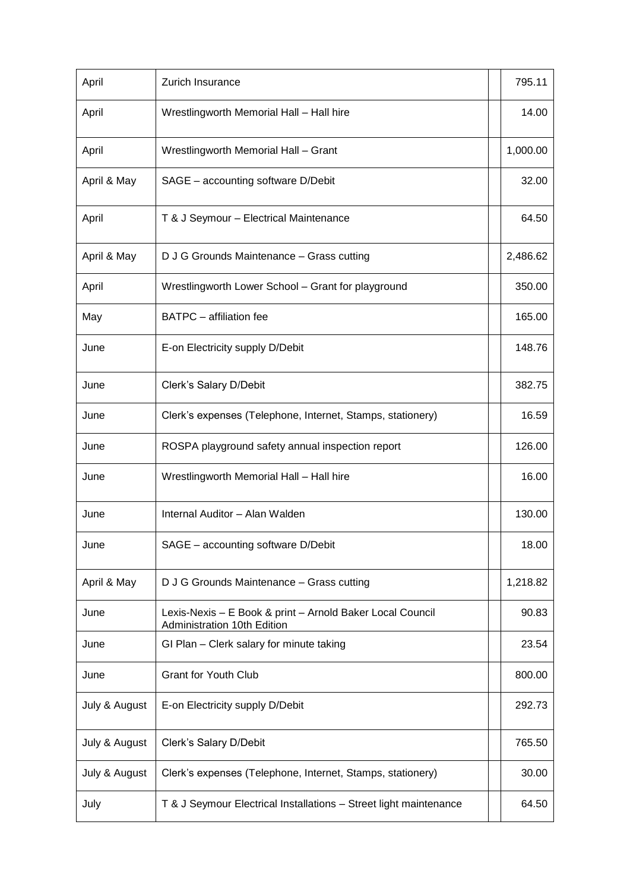| April         | Zurich Insurance                                                                         | 795.11   |
|---------------|------------------------------------------------------------------------------------------|----------|
| April         | Wrestlingworth Memorial Hall - Hall hire                                                 | 14.00    |
| April         | Wrestlingworth Memorial Hall - Grant                                                     | 1,000.00 |
| April & May   | SAGE - accounting software D/Debit                                                       | 32.00    |
| April         | T & J Seymour - Electrical Maintenance                                                   | 64.50    |
| April & May   | D J G Grounds Maintenance - Grass cutting                                                | 2,486.62 |
| April         | Wrestlingworth Lower School - Grant for playground                                       | 350.00   |
| May           | <b>BATPC</b> - affiliation fee                                                           | 165.00   |
| June          | E-on Electricity supply D/Debit                                                          | 148.76   |
| June          | Clerk's Salary D/Debit                                                                   | 382.75   |
| June          | Clerk's expenses (Telephone, Internet, Stamps, stationery)                               | 16.59    |
| June          | ROSPA playground safety annual inspection report                                         | 126.00   |
| June          | Wrestlingworth Memorial Hall - Hall hire                                                 | 16.00    |
| June          | Internal Auditor - Alan Walden                                                           | 130.00   |
| June          | SAGE - accounting software D/Debit                                                       | 18.00    |
| April & May   | D J G Grounds Maintenance - Grass cutting                                                | 1,218.82 |
| June          | Lexis-Nexis - E Book & print - Arnold Baker Local Council<br>Administration 10th Edition | 90.83    |
| June          | GI Plan - Clerk salary for minute taking                                                 | 23.54    |
| June          | <b>Grant for Youth Club</b>                                                              | 800.00   |
| July & August | E-on Electricity supply D/Debit                                                          | 292.73   |
| July & August | Clerk's Salary D/Debit                                                                   | 765.50   |
| July & August | Clerk's expenses (Telephone, Internet, Stamps, stationery)                               | 30.00    |
| July          | T & J Seymour Electrical Installations - Street light maintenance                        | 64.50    |